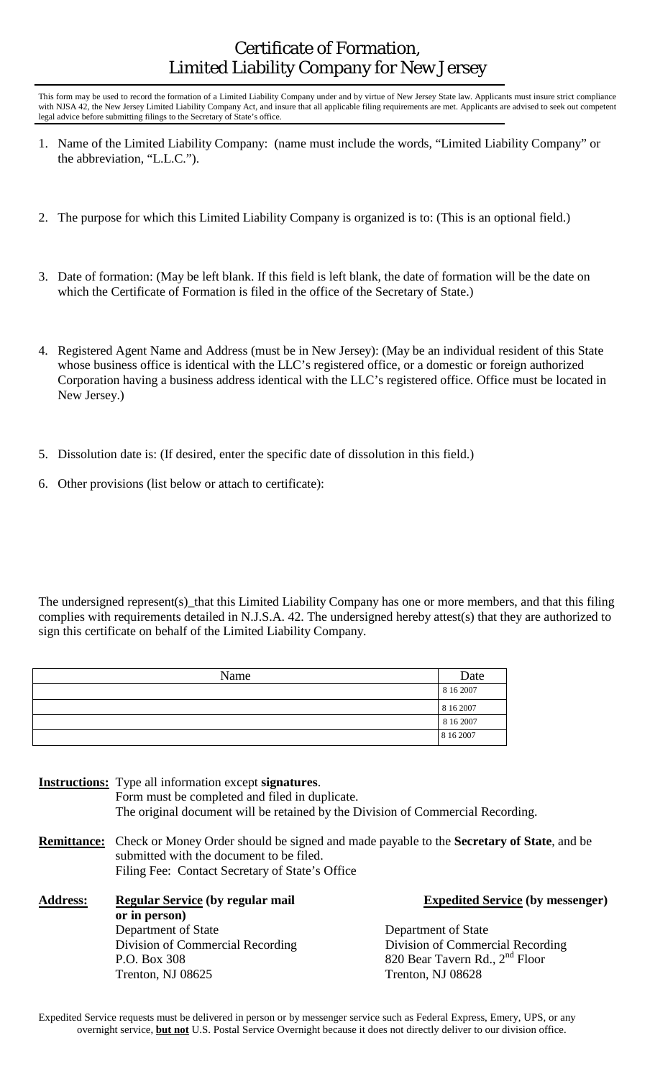## Certificate of Formation, Limited Liability Company for New Jersey

This form may be used to record the formation of a Limited Liability Company under and by virtue of New Jersey State law. Applicants must insure strict compliance with NJSA 42, the New Jersey Limited Liability Company Act, and insure that all applicable filing requirements are met. Applicants are advised to seek out competent legal advice before submitting filings to the Secretary of State's office.

- 1. Name of the Limited Liability Company: (name must include the words, "Limited Liability Company" or the abbreviation, "L.L.C.").
- 2. The purpose for which this Limited Liability Company is organized is to: (This is an optional field.)
- 3. Date of formation: (May be left blank. If this field is left blank, the date of formation will be the date on which the Certificate of Formation is filed in the office of the Secretary of State.)
- 4. Registered Agent Name and Address (must be in New Jersey): (May be an individual resident of this State whose business office is identical with the LLC's registered office, or a domestic or foreign authorized Corporation having a business address identical with the LLC's registered office. Office must be located in New Jersey.)
- 5. Dissolution date is: (If desired, enter the specific date of dissolution in this field.)
- 6. Other provisions (list below or attach to certificate):

**or in person)** 

The undersigned represent(s)\_that this Limited Liability Company has one or more members, and that this filing complies with requirements detailed in N.J.S.A. 42. The undersigned hereby attest(s) that they are authorized to sign this certificate on behalf of the Limited Liability Company.

| Name | Date      |
|------|-----------|
|      | 8 16 2007 |
|      | 8 16 2007 |
|      | 8 16 2007 |
|      | 8 16 2007 |

**Instructions:** Type all information except **signatures**. Form must be completed and filed in duplicate. The original document will be retained by the Division of Commercial Recording. **Remittance:** Check or Money Order should be signed and made payable to the **Secretary of State**, and be submitted with the document to be filed. Filing Fee: Contact Secretary of State's Office **Address: Regular Service (by regular mail Expedited Service (by messenger)** 

> Department of State Department of State Division of Commercial Recording Division of Commercial Recording P.O. Box 308 820 Bear Tavern Rd., 2<sup>nd</sup> Floor Trenton, NJ 08625 Trenton, NJ 08628